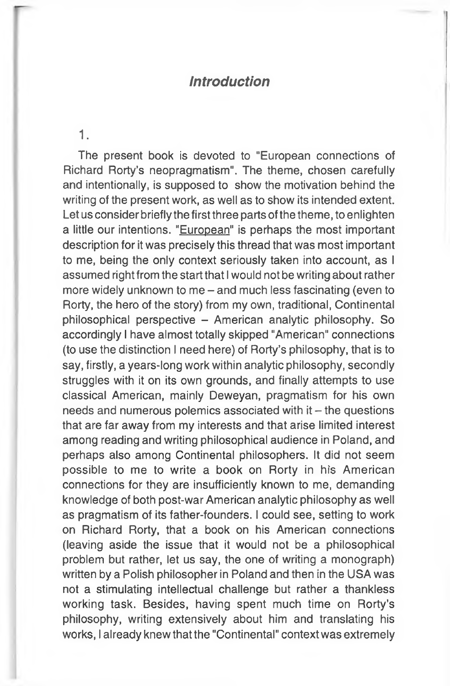**1.**

The present book is devoted to "European connections of Richard Rorty's neopragmatism". The theme, chosen carefully and intentionally, is supposed to show the motivation behind the writing of the present work, as well as to show its intended extent. Let us consider briefly the first three parts of the theme, to enlighten a little our intentions. "European" is perhaps the most important description for it was precisely this thread that was most important to me, being the only context seriously taken into account, as I assumed right from the start that I would not be writing about rather more widely unknown to me – and much less fascinating (even to Rorty, the hero of the story) from my own, traditional, Continental philosophical perspective - American analytic philosophy. So accordingly I have almost totally skipped "American" connections (to use the distinction I need here) of Rorty's philosophy, that is to say, firstly, a years-long work within analytic philosophy, secondly struggles with it on its own grounds, and finally attempts to use classical American, mainly Deweyan, pragmatism for his own needs and numerous polemics associated with  $it$  – the questions that are far away from my interests and that arise limited interest among reading and writing philosophical audience in Poland, and perhaps also among Continental philosophers. It did not seem possible to me to write a book on Rorty in his American connections for they are insufficiently known to me, demanding knowledge of both post-war American analytic philosophy as well as pragmatism of its father-founders. I could see, setting to work on Richard Rorty, that a book on his American connections (leaving aside the issue that it would not be a philosophical problem but rather, let us say, the one of writing a monograph) written by a Polish philosopher in Poland and then in the USA was not a stimulating intellectual challenge but rather a thankless working task. Besides, having spent much time on Rorty's philosophy, writing extensively about him and translating his works, I already knew that the "Continental" context was extremely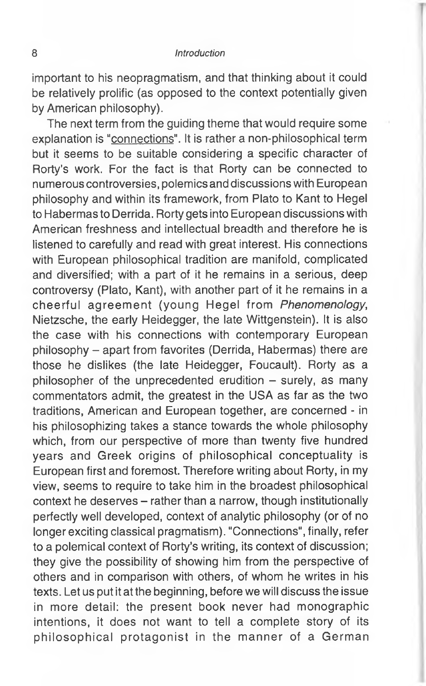important to his neopragmatism, and that thinking about it could be relatively prolific (as opposed to the context potentially given by American philosophy).

The next term from the guiding theme that would require some explanation is "connections". It is rather a non-philosophical term but it seems to be suitable considering a specific character of Rorty's work. For the fact is that Rorty can be connected to numerous controversies, polemics and discussions with European philosophy and within its framework, from Plato to Kant to Hegel to Habermas to Derrida. Rorty gets into European discussions with American freshness and intellectual breadth and therefore he is listened to carefully and read with great interest. His connections with European philosophical tradition are manifold, complicated and diversified; with a part of it he remains in a serious, deep controversy (Plato, Kant), with another part of it he remains in a cheerful agreem ent (young Hegel from *Phenomenology,* Nietzsche, the early Heidegger, the late Wittgenstein). It is also the case with his connections with contemporary European philosophy - apart from favorites (Derrida, Habermas) there are those he dislikes (the late Heidegger, Foucault). Rorty as a philosopher of the unprecedented erudition  $-$  surely, as many commentators admit, the greatest in the USA as far as the two traditions, American and European together, are concerned - in his philosophizing takes a stance towards the whole philosophy which, from our perspective of more than twenty five hundred years and Greek origins of philosophical conceptuality is European first and foremost. Therefore writing about Rorty, in my view, seems to require to take him in the broadest philosophical context he deserves - rather than a narrow, though institutionally perfectly well developed, context of analytic philosophy (or of no longer exciting classical pragmatism). "Connections", finally, refer to a polemical context of Rorty's writing, its context of discussion; they give the possibility of showing him from the perspective of others and in comparison with others, of whom he writes in his texts. Let us put it at the beginning, before we will discuss the issue in more detail: the present book never had monographic intentions, it does not want to tell a complete story of its philosophical protagonist in the manner of a German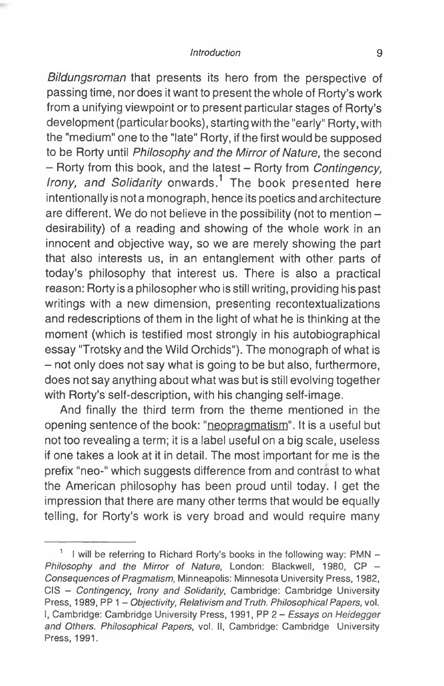*Bildungsroman* that presents its hero from the perspective of passing time, nor does it want to present the whole of Rorty's work from a unifying viewpoint or to present particular stages of Rorty's development (particular books), starting with the "early" Rorty.with the "medium" one to the "late" Rorty, if the first would be supposed to be Rorty until *Philosophy and the Mirror of Nature,* the second - Rorty from this book, and the latest - Rorty from *Contingency, Irony, and Solidarity* onwards.1 The book presented here intentionally is not a monograph, hence its poetics and architecture are different. We do not believe in the possibility (not to mention  $$ desirability) of a reading and showing of the whole work in an innocent and objective way, so we are merely showing the part that also interests us, in an entanglement with other parts of today's philosophy that interest us. There is also a practical reason: Rorty is a philosopher who is still writing, providing his past writings with a new dimension, presenting recontextualizations and redescriptions of them in the light of what he is thinking at the moment (which is testified most strongly in his autobiographical essay "Trotsky and the Wild Orchids"). The monograph of what is - not only does not say what is going to be but also, furthermore, does not say anything about what was but is still evolving together with Rorty's self-description, with his changing self-image.

And finally the third term from the theme mentioned in the opening sentence of the book: "neopragmatism". It is a useful but not too revealing a term; it is a label useful on a big scale, useless if one takes a look at it in detail. The most important for me is the prefix "neo-" which suggests difference from and contrast to what the American philosophy has been proud until today. I get the impression that there are many other terms that would be equally telling, for Rorty's work is very broad and would require many

<sup>&</sup>lt;sup>1</sup> I will be referring to Richard Rorty's books in the following way: PMN  $-$ *Philosophy and the Mirror of Nature,* London: Blackwell, 1980, CP - *Consequences of Pragmatism,* Minneapolis: Minnesota University Press, 1982, CIS - *Contingency, Irony and Solidarity,* Cambridge: Cambridge University Press, 1989, PP 1 - *Objectivity, Relativism and Truth. Philosophical Papers,* vol. I, Cambridge: Cambridge University Press, 1991, PP 2 - *Essays on Heidegger and Others. Philosophical Papers,* vol. II, Cambridge: Cambridge University Press, 1991.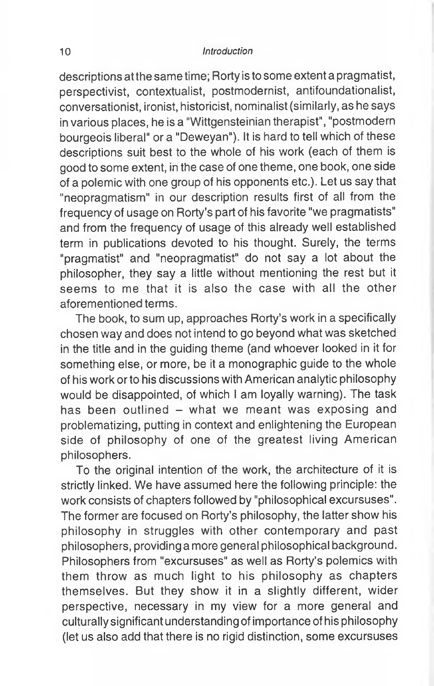descriptions at the same time; Rorty is to some extent a pragmatist, perspectivist, contextualist, postmodernist, antifoundationalist, conversationist, ironist, historicist, nominalist (similarly, as he says in various places, he is a "Wittgensteinian therapist", "postmodern bourgeois liberal" or a "Deweyan"). It is hard to tell which of these descriptions suit best to the whole of his work (each of them is good to some extent, in the case of one theme, one book, one side of a polemic with one group of his opponents etc.). Let us say that "neopragmatism" in our description results first of all from the frequency of usage on Rorty's part of his favorite "we pragmatists" and from the frequency of usage of this already well established term in publications devoted to his thought. Surely, the terms "pragmatist" and "neopragmatist" do not say a lot about the philosopher, they say a little without mentioning the rest but it seems to me that it is also the case with all the other aforementioned terms.

The book, to sum up, approaches Rorty's work in a specifically chosen way and does not intend to go beyond what was sketched in the title and in the guiding theme (and whoever looked in it for something else, or more, be it a monographic guide to the whole of his work or to his discussions with American analytic philosophy would be disappointed, of which I am loyally warning). The task has been outlined  $-$  what we meant was exposing and problematizing, putting in context and enlightening the European side of philosophy of one of the greatest living American philosophers.

To the original intention of the work, the architecture of it is strictly linked. We have assumed here the following principle: the work consists of chapters followed by "philosophical excursuses". The former are focused on Rorty's philosophy, the latter show his philosophy in struggles with other contemporary and past philosophers, providing a more general philosophical background. Philosophers from "excursuses" as well as Rorty's polemics with them throw as much light to his philosophy as chapters themselves. But they show it in a slightly different, wider perspective, necessary in my view for a more general and culturally significant understanding of importance of his philosophy (let us also add that there is no rigid distinction, some excursuses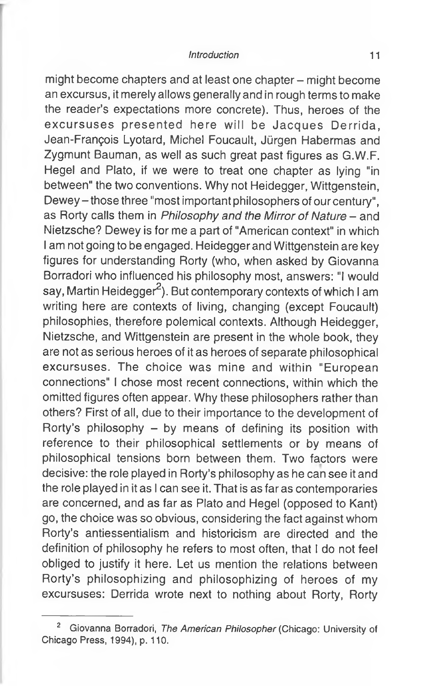might become chapters and at least one chapter – might become an excursus, it merely allows generally and in rough terms to make the reader's expectations more concrete). Thus, heroes of the excursuses presented here will be Jacques Derrida. Jean-François Lyotard, Michel Foucault, Jürgen Habermas and Zygmunt Bauman, as well as such great past figures as G.W.F. Hegel and Plato, if we were to treat one chapter as lying "in between" the two conventions. Why not Heidegger, Wittgenstein, Dewey-those three "most important philosophers of our century", as Rorty calls them in *Philosophy and the Mirror of Nature* - and Nietzsche? Dewey is for me a part of "American context" in which I am not going to be engaged. Heidegger and Wittgenstein are key figures for understanding Rorty (who, when asked by Giovanna Borradori who influenced his philosophy most, answers: "I would say, Martin Heidegger<sup>2</sup>). But contemporary contexts of which I am writing here are contexts of living, changing (except Foucault) philosophies, therefore polemical contexts. Although Heidegger, Nietzsche, and Wittgenstein are present in the whole book, they are not as serious heroes of it as heroes of separate philosophical excursuses. The choice was mine and within "European connections" I chose most recent connections, within which the omitted figures often appear. Why these philosophers rather than others? First of all, due to their importance to the development of Rorty's philosophy  $-$  by means of defining its position with reference to their philosophical settlements or by means of philosophical tensions born between them. Two factors were decisive: the role played in Rorty's philosophy as he can see it and the role played in it as I can see it. That is as far as contemporaries are concerned, and as far as Plato and Hegel (opposed to Kant) go, the choice was so obvious, considering the fact against whom Rorty's antiessentialism and historicism are directed and the definition of philosophy he refers to most often, that I do not feel obliged to justify it here. Let us mention the relations between Rorty's philosophizing and philosophizing of heroes of my excursuses: Derrida wrote next to nothing about Rorty, Rorty

<sup>2</sup> Giovanna Borradori, *The American Philosopher* (Chicago: University of Chicago Press, 1994), p. 110.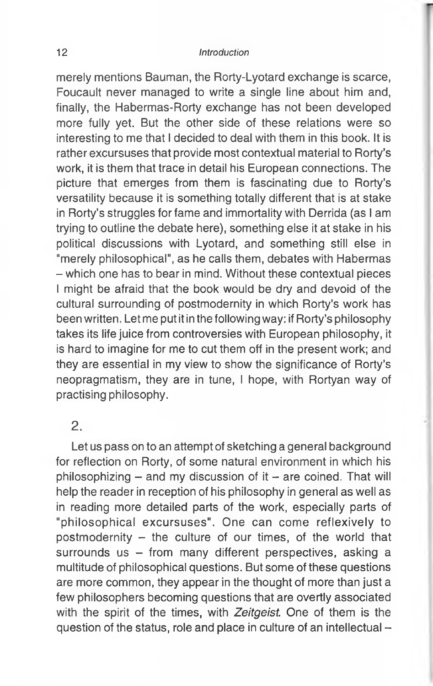merely mentions Bauman, the Rorty-Lyotard exchange is scarce, Foucault never managed to write a single line about him and, finally, the Habermas-Rorty exchange has not been developed more fully yet. But the other side of these relations were so interesting to me that I decided to deal with them in this book. It is rather excursuses that provide most contextual material to Rorty's work, it is them that trace in detail his European connections. The picture that emerges from them is fascinating due to Rorty's versatility because it is something totally different that is at stake in Rorty's struggles for fame and immortality with Derrida (as I am trying to outline the debate here), something else it at stake in his political discussions with Lyotard, and something still else in "merely philosophical", as he calls them, debates with Habermas - which one has to bear in mind. Without these contextual pieces I might be afraid that the book would be dry and devoid of the cultural surrounding of postmodernity in which Rorty's work has been written. Let me put it in the following way: if Rorty's philosophy takes its life juice from controversies with European philosophy, it is hard to imagine for me to cut them off in the present work; and they are essential in my view to show the significance of Rorty's neopragmatism, they are in tune, I hope, with Rortyan way of practising philosophy.

# 2.

Let us pass on to an attempt of sketching a general background for reflection on Rorty, of some natural environment in which his philosophizing  $-$  and my discussion of it  $-$  are coined. That will help the reader in reception of his philosophy in general as well as in reading more detailed parts of the work, especially parts of "philosophical excursuses". One can come reflexively to postmodernity - the culture of our times, of the world that surrounds us  $-$  from many different perspectives, asking a multitude of philosophical questions. But some of these questions are more common, they appear in the thought of more than just a few philosophers becoming questions that are overtly associated with the spirit of the times, with *Zeitgeist.* One of them is the question of the status, role and place in culture of an intellectual  $-$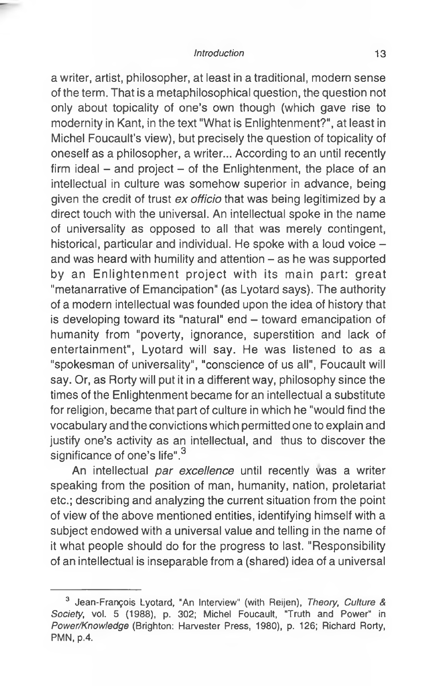a writer, artist, philosopher, at least in a traditional, modern sense of the term. That is a metaphilosophical question, the question not only about topicality of one's own though (which gave rise to modernity in Kant, in the text "What is Enlightenment?", at least in Michel Foucault's view), but precisely the question of topicality of oneself as a philosopher, a writer... According to an until recently firm ideal  $-$  and project  $-$  of the Enlightenment, the place of an intellectual in culture was somehow superior in advance, being given the credit of trust *ex officio* that was being legitimized by a direct touch with the universal. An intellectual spoke in the name of universality as opposed to all that was merely contingent, historical, particular and individual. He spoke with a loud voice and was heard with humility and attention  $-$  as he was supported by an Enlightenment project with its main part: great "metanarrative of Emancipation" (as Lyotard says). The authority of a modern intellectual was founded upon the idea of history that is developing toward its "natural" end - toward emancipation of humanity from "poverty, ignorance, superstition and lack of entertainment", Lyotard will say. He was listened to as a "spokesman of universality", "conscience of us all", Foucault will say. Or, as Rorty will put it in a different way, philosophy since the times of the Enlightenment became for an intellectual a substitute for religion, became that part of culture in which he "would find the vocabulary and the convictions which permitted one to explain and justify one's activity as an intellectual, and thus to discover the significance of one's life".<sup>3</sup>

An intellectual *par excellence* until recently was a writer speaking from the position of man, humanity, nation, proletariat etc.; describing and analyzing the current situation from the point of view of the above mentioned entities, identifying himself with a subject endowed with a universal value and telling in the name of it what people should do for the progress to last. "Responsibility of an intellectual is inseparable from a (shared) idea of a universal

<sup>3</sup> Jean-François Lyotard, "An Interview" (with Reijen), *Theory, Culture & Society,* vol. 5 (1988), p. 302; Michel Foucault, "Truth and Power" in *Power/Knowledge* (Brighton: Harvester Press, 1980), p. 126; Richard Rorty, PMN, p.4.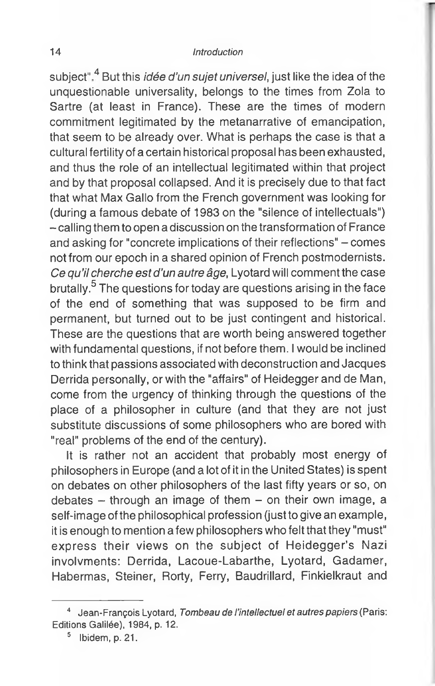subject"4 But this *idée d'un sujet universel,* just like the idea of the unquestionable universality, belongs to the times from Zola to Sartre (at least in France). These are the times of modern commitment legitimated by the metanarrative of emancipation, that seem to be already over. What is perhaps the case is that a cultural fertility of a certain historical proposal has been exhausted, and thus the role of an intellectual legitimated within that project and by that proposal collapsed. And it is precisely due to that fact that what Max Gallo from the French government was looking for (during a famous debate of 1983 on the "silence of intellectuals") - calling them to open a discussion on the transformation of France and asking for "concrete implications of their reflections" - comes not from our epoch in a shared opinion of French postmodernists. *Ce qu'il cherche est d'un autre âge,* Lyotard will comment the case brutally.5 The questions for today are questions arising in the face of the end of something that was supposed to be firm and permanent, but turned out to be just contingent and historical. These are the questions that are worth being answered together with fundamental questions, if not before them. I would be inclined to think that passions associated with deconstruction and Jacques Derrida personally, or with the "affairs" of Heidegger and de Man, come from the urgency of thinking through the questions of the place of a philosopher in culture (and that they are not just substitute discussions of some philosophers who are bored with "real" problems of the end of the century).

It is rather not an accident that probably most energy of philosophers in Europe (and a lot of it in the United States) is spent on debates on other philosophers of the last fifty years or so, on  $debates - through an image of them - on their own image, a$ self-image of the philosophical profession (justto give an example, it is enough to mention a few philosophers who felt that they "must" express their views on the subject of Heidegger's Nazi involvments: Derrida, Lacoue-Labarthe, Lyotard, Gadamer, Habermas, Steiner, Rorty, Ferry, Baudrillard, Finkielkraut and

<sup>11</sup> Jean-François Lyotard, *Tombeau de l'intellectuel et autres papiers* (Paris: Editions Galilée), 1984, p. 12.

 $<sup>5</sup>$  Ibidem, p. 21.</sup>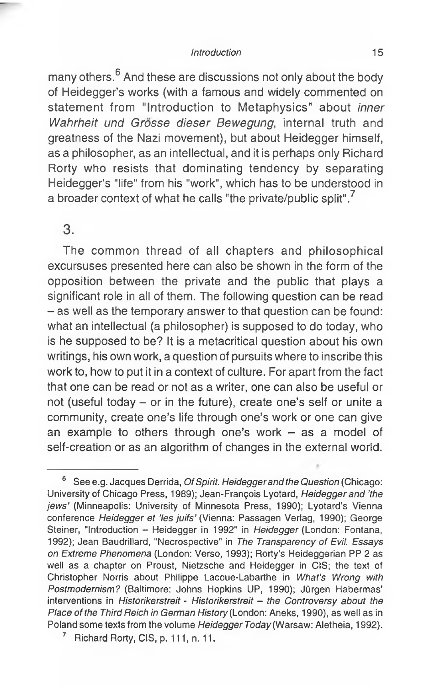many others.<sup>6</sup> And these are discussions not only about the body of Heidegger's works (with a famous and widely commented on statement from "Introduction to Metaphysics" about *inner Wahrheit und Grosse dieser Bewegung,* internal truth and greatness of the Nazi movement), but about Heidegger himself, as a philosopher, as an intellectual, and it is perhaps only Richard Rorty who resists that dominating tendency by separating Heidegger's "life" from his "work", which has to be understood in a broader context of what he calls "the private/public split".7

# 3.

The common thread of all chapters and philosophical excursuses presented here can also be shown in the form of the opposition between the private and the public that plays a significant role in all of them. The following question can be read - as well as the temporary answer to that question can be found: what an intellectual (a philosopher) is supposed to do today, who is he supposed to be? It is a metacritical question about his own writings, his own work, a question of pursuits where to inscribe this work to, how to put it in a context of culture. For apart from the fact that one can be read or not as a writer, one can also be useful or not (useful today - or in the future), create one's self or unite a community, create one's life through one's work or one can give an example to others through one's work  $-$  as a model of self-creation or as an algorithm of changes in the external world.

<sup>6</sup> See e.g. Jacques Derrida, *Of Spirit. Heidegger and the Question* (Chicago: University of Chicago Press, 1989); Jean-François Lyotard, *Heidegger and 'the jews'* (Minneapolis: University of Minnesota Press, 1990); Lyotard's Vienna conference *Heidegger et 'les juifs'* (Vienna: Passagen Verlag, 1990); George Steiner, "Introduction - Heidegger in 1992" in *Heidegger* (London: Fontana, 1992); Jean Baudrillard, "Necrospective" in *The Transparency of Evil. Essays on Extreme Phenomena* (London: Verso, 1993); Rorty's Heideggerian PP 2 as well as a chapter on Proust, Nietzsche and Heidegger in CIS; the text of Christopher Norris about Philippe Lacoue-Labarthe in *What's Wrong with Postmodernism?* (Baltimore: Johns Hopkins UP, 1990); Jürgen Habermas' interventions in *Historikerstreit - Historikerstreit* - *the Controversy about the Place of the Third Reich in German History* (London: Aneks, 1990), as well as in Poland some texts from the volume *Heidegger Today* (Warsaw: Aletheia, 1992).

<sup>&</sup>lt;sup>7</sup> Richard Rorty, CIS, p. 111, n. 11.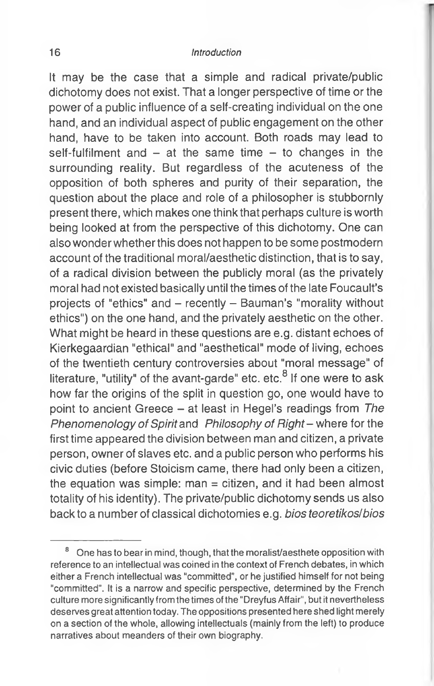It may be the case that a simple and radical private/public dichotomy does not exist. That a longer perspective of time or the power of a public influence of a self-creating individual on the one hand, and an individual aspect of public engagement on the other hand, have to be taken into account. Both roads may lead to self-fulfilment and  $-$  at the same time  $-$  to changes in the surrounding reality. But regardless of the acuteness of the opposition of both spheres and purity of their separation, the question about the place and role of a philosopher is stubbornly present there, which makes one think that perhaps culture is worth being looked at from the perspective of this dichotomy. One can also wonder whether this does not happen to be some postmodern account of the traditional moral/aesthetic distinction, that is to say, of a radical division between the publicly moral (as the privately moral had not existed basically until the times of the late Foucault's projects of "ethics" and - recently - Bauman's "morality without ethics") on the one hand, and the privately aesthetic on the other. What might be heard in these questions are e.g. distant echoes of Kierkegaardian "ethical" and "aesthetical" mode of living, echoes of the twentieth century controversies about "moral message" of literature, "utility" of the avant-garde" etc. etc.<sup>8</sup> If one were to ask how far the origins of the split in question go, one would have to point to ancient Greece - at least in Hegel's readings from *The Phenomenology of Spirit and Philosophy of Right*-where for the first time appeared the division between man and citizen, a private person, owner of slaves etc. and a public person who performs his civic duties (before Stoicism came, there had only been a citizen, the equation was simple: man = citizen, and it had been almost totality of his identity). The private/public dichotomy sends us also back to a number of classical dichotomies e.g. *bios teoretikos/bios*

<sup>&</sup>lt;sup>8</sup> One has to bear in mind, though, that the moralist/aesthete opposition with reference to an intellectual was coined in the context of French debates, in which either a French intellectual was "committed", or he justified himself for not being "committed". It is a narrow and specific perspective, determined by the French culture more significantly from the times of the "Dreyfus Affair", but it nevertheless deserves great attention today. The oppositions presented here shed light merely on a section of the whole, allowing intellectuals (mainly from the left) to produce narratives about meanders of their own biography.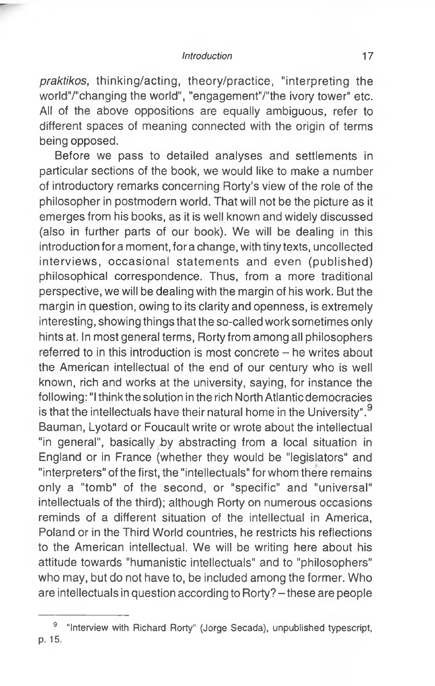*praktikos,* thinking/acting, theory/practice, "interpreting the world"/"changing the world", "engagement"/"the ivory tower" etc. All of the above oppositions are equally ambiguous, refer to different spaces of meaning connected with the origin of terms being opposed.

Before we pass to detailed analyses and settlements in particular sections of the book, we would like to make a number of introductory remarks concerning Rorty's view of the role of the philosopher in postmodern world. That will not be the picture as it emerges from his books, as it is well known and widely discussed (also in further parts of our book). We will be dealing in this introduction fora moment, fora change, with tiny texts, uncollected interviews, occasional statements and even (published) philosophical correspondence. Thus, from a more traditional perspective, we will be dealing with the margin of his work. But the margin in question, owing to its clarity and openness, is extremely interesting, showing things that the so-called work sometimes only hints at. In most general terms, Rorty from among all philosophers referred to in this introduction is most concrete  $-$  he writes about the American intellectual of the end of our century who is well known, rich and works at the university, saying, for instance the following: "I think the solution in the rich North Atlantic democracies is that the intellectuals have their natural home in the University".<sup>9</sup> Bauman, Lyotard or Foucault write or wrote about the intellectual "in general", basically *by* abstracting from a local situation in England or in France (whether they would be "legislators" and "interpreters" of the first, the "intellectuals" for whom there remains only a "tomb" of the second, or "specific" and "universal" intellectuals of the third); although Rorty on numerous occasions reminds of a different situation of the intellectual in America, Poland or in the Third World countries, he restricts his reflections to the American intellectual. We will be writing here about his attitude towards "humanistic intellectuals" and to "philosophers" who may, but do not have to, be included among the former. Who are intellectuals in question according to Rorty? - these are people

<sup>9 &</sup>quot;Interview with Richard Rorty" (Jorge Secada), unpublished typescript, p. 15.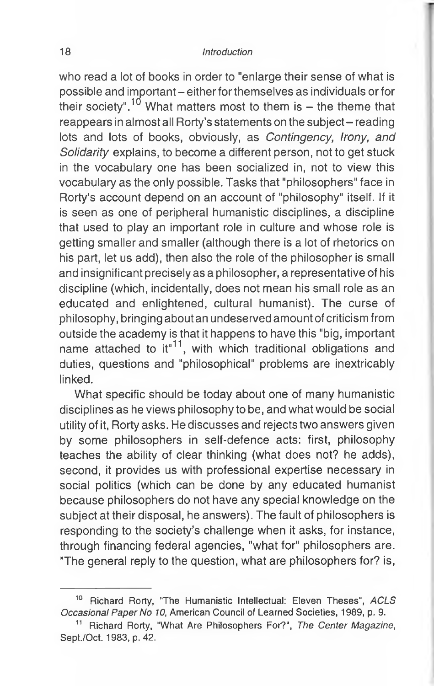who read a lot of books in order to "enlarge their sense of what is possible and important - either for themselves as individuals or for their society".<sup>10</sup> What matters most to them is  $-$  the theme that reappears in almost all Rorty's statements on the subject - reading lots and lots of books, obviously, as *Contingency, Irony, and Solidarity* explains, to become a different person, not to get stuck in the vocabulary one has been socialized in, not to view this vocabulary as the only possible. Tasks that "philosophers" face in Rorty's account depend on an account of "philosophy" itself. If it is seen as one of peripheral humanistic disciplines, a discipline that used to play an important role in culture and whose role is getting smaller and smaller (although there is a lot of rhetorics on his part, let us add), then also the role of the philosopher is small and insignificant precisely as a philosopher, a representative of his discipline (which, incidentally, does not mean his small role as an educated and enlightened, cultural humanist). The curse of philosophy, bringing about an undeserved amount of criticism from outside the academy is that it happens to have this "big, important name attached to it"'', with which traditional obligations and duties, questions and "philosophical" problems are inextricably linked.

What specific should be today about one of many humanistic disciplines as he views philosophy to be, and what would be social utility of it, Rorty asks. He discusses and rejects two answers given by some philosophers in self-defence acts: first, philosophy teaches the ability of clear thinking (what does not? he adds), second, it provides us with professional expertise necessary in social politics (which can be done by any educated humanist because philosophers do not have any special knowledge on the subject at their disposal, he answers). The fault of philosophers is responding to the society's challenge when it asks, for instance, through financing federal agencies, "what for" philosophers are. "The general reply to the question, what are philosophers for? is,

<sup>10</sup> Richard Rorty, "The Humanistic Intellectual: Eleven Theses", *ACLS Occasional Paper No 10,* American Council of Learned Societies, 1989, p. 9.

<sup>11</sup> Richard Rorty, "What Are Philosophers For?", *The Center Magazine,* Sept./Oct. 1983, p. 42.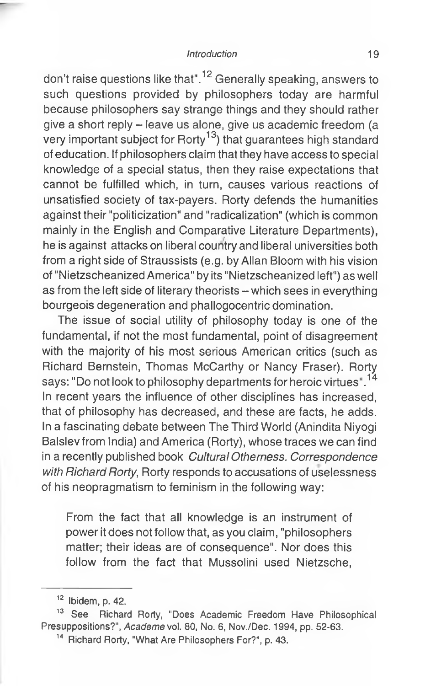don't raise questions like that".<sup>12</sup> Generally speaking, answers to such questions provided by philosophers today are harmful because philosophers say strange things and they should rather give a short reply - leave us alone, give us academic freedom (a very important subject for Rorty<sup>13</sup>) that guarantees high standard of education. If philosophers claim that they have access to special knowledge of a special status, then they raise expectations that cannot be fulfilled which, in turn, causes various reactions of unsatisfied society of tax-payers. Rorty defends the humanities against their "politicization" and "radicalization" (which is common mainly in the English and Comparative Literature Departments), he is against attacks on liberal country and liberal universities both from a right side of Straussists (e.g. by Allan Bloom with his vision of "Nietzscheanized America" by its "Nietzscheanized left") as well as from the left side of literary theorists - which sees in everything bourgeois degeneration and phallogocentric domination.

The issue of social utility of philosophy today is one of the fundamental, if not the most fundamental, point of disagreement with the majority of his most serious American critics (such as Richard Bernstein, Thomas McCarthy or Nancy Fraser). Rorty says: "Do not look to philosophy departments for heroic virtues".<sup>14</sup> In recent years the influence of other disciplines has increased, that of philosophy has decreased, and these are facts, he adds. In a fascinating debate between The Third World (Anindita Niyogi Balslev from India) and America (Rorty), whose traces we can find in a recently published book *Cultural Otherness. Correspondence with Richard Rorty,* Rorty responds to accusations of uselessness of his neopragmatism to feminism in the following way:

From the fact that all knowledge is an instrument of power it does not follow that, as you claim, "philosophers matter; their ideas are of consequence". Nor does this follow from the fact that Mussolini used Nietzsche,

 $12$  Ibidem, p. 42.

<sup>13</sup> See Richard Rorty, "Does Academic Freedom Have Philosophical Presuppositions?", *Academe* vol. 80, No. 6, Nov./Dec. 1994, pp. 52-63.

<sup>14</sup> Richard Rorty, "What Are Philosophers For?", p. 43.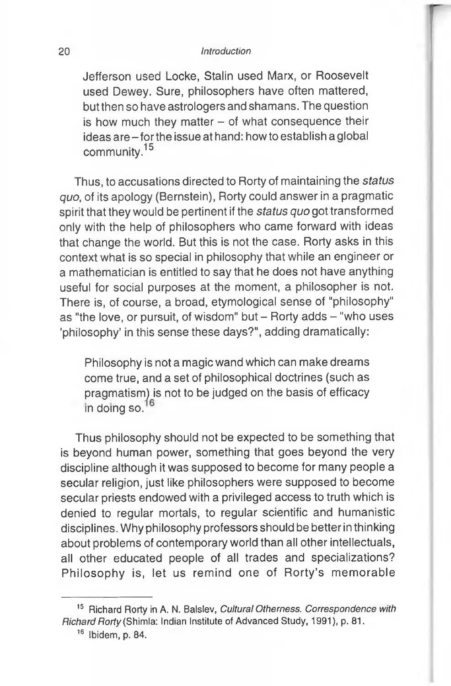Jefferson used Locke, Stalin used Marx, or Roosevelt used Dewey. Sure, philosophers have often mattered, but then so have astrologers and shamans. The question is how much they matter  $-$  of what consequence their ideas are-forthe issue at hand: howto establish a global community. $15$ 

Thus, to accusations directed to Rorty of maintaining the *status quo,* of its apology (Bernstein), Rorty could answer in a pragmatic spirit that they would be pertinent if the *status quo* got transformed only with the help of philosophers who came forward with ideas that change the world. But this is not the case. Rorty asks in this context what is so special in philosophy that while an engineer or a mathematician is entitled to say that he does not have anything useful for social purposes at the moment, a philosopher is not. There is, of course, a broad, etymological sense of "philosophy" as "the love, or pursuit, of wisdom" but  $-$  Rorty adds  $-$  "who uses 'philosophy' in this sense these days?", adding dramatically:

Philosophy is not a magic wand which can make dreams come true, and a set of philosophical doctrines (such as pragmatism) is not to be judged on the basis of efficacy in doing so.<sup>16</sup>

Thus philosophy should not be expected to be something that is beyond human power, something that goes beyond the very discipline although it was supposed to become for many people a secular religion, just like philosophers were supposed to become secular priests endowed with a privileged access to truth which is denied to regular mortals, to regular scientific and humanistic disciplines. Why philosophy professors should be better in thinking about problems of contemporary world than all other intellectuals, all other educated people of all trades and specializations? Philosophy is, let us remind one of Rorty's memorable

<sup>15</sup> Richard Rorty in A. N. Balslev, *Cultural Otherness. Correspondence with Richard Rorty (*Shimla: Indian Institute of Advanced Study, 1991), p. 81.

<sup>16</sup> Ibidem, p. 84.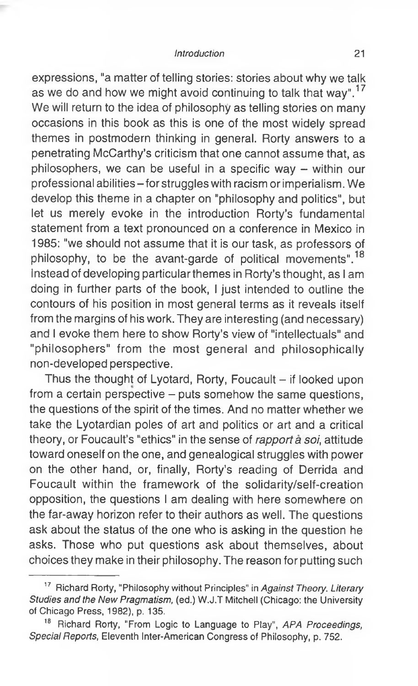expressions, "a matter of telling stories: stories about why we talk as we do and how we might avoid continuing to talk that way".<sup>17</sup> We will return to the idea of philosophy as telling stories on many occasions in this book as this is one of the most widely spread themes in postmodern thinking in general. Rorty answers to a penetrating McCarthy's criticism that one cannot assume that, as philosophers, we can be useful in a specific way  $-$  within our professional abilities-for struggles with racism or imperialism. We develop this theme in a chapter on "philosophy and politics", but let us merely evoke in the introduction Rorty's fundamental statement from a text pronounced on a conference in Mexico in 1985: "we should not assume that it is our task, as professors of philosophy, to be the avant-garde of political movements".<sup>18</sup> Instead of developing particular themes in Rorty's thought, as I am doing in further parts of the book, I just intended to outline the contours of his position in most general terms as it reveals itself from the margins of his work. They are interesting (and necessary) and I evoke them here to show Rorty's view of "intellectuals" and "philosophers" from the most general and philosophically non-developed perspective.

Thus the thought of Lyotard, Rorty, Foucault  $-$  if looked upon from a certain perspective – puts somehow the same questions, the questions of the spirit of the times. And no matter whether we take the Lyotardian poles of art and politics or art and a critical theory, or Foucault's "ethics" in the sense of *rapport a soi,* attitude toward oneself on the one, and genealogical struggles with power on the other hand, or, finally, Rorty's reading of Derrida and Foucault within the framework of the solidarity/self-creation opposition, the questions I am dealing with here somewhere on the far-away horizon refer to their authors as well. The questions ask about the status of the one who is asking in the question he asks. Those who put questions ask about themselves, about choices they make in their philosophy. The reason for putting such

<sup>17</sup> Richard Rorty, "Philosophy without Principles" in *Against Theory. Literary Studies and the New Pragmatism,* (ed.) W.J.T Mitchell (Chicago: the University of Chicago Press, 1982), p. 135.

<sup>&</sup>lt;sup>18</sup> Richard Rorty, "From Logic to Language to Play", APA Proceedings, *Special Reports,* Eleventh Inter-American Congress of Philosophy, p. 752.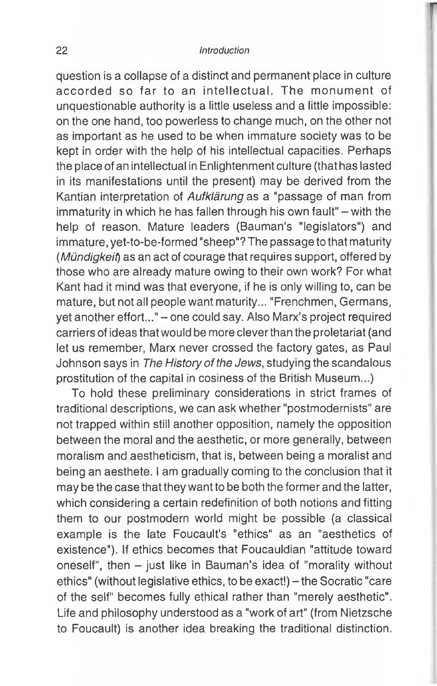question is a collapse of a distinct and permanent place in culture accorded so far to an intellectual. The monument of unquestionable authority is a little useless and a little impossible: on the one hand, too powerless to change much, on the other not as important as he used to be when immature society was to be kept in order with the help of his intellectual capacities. Perhaps the place of an intellectual in Enlightenment culture (that has lasted in its manifestations until the present) may be derived from the Kantian interpretation of *Aufklärung* as a "passage of man from immaturity in which he has fallen through his own fault"  $-$  with the help of reason. Mature leaders (Bauman's "legislators") and immature, yet-to-be-formed "sheep"? The passage to that maturity *(Mündigkeit)* as an act of courage that requires support, offered by those who are already mature owing to their own work? For what Kant had it mind was that everyone, if he is only willing to, can be mature, but not all people want maturity... "Frenchmen, Germans, yet another effort..." - one could say. Also Marx's project required carriers of ideas that would be more clever than the proletariat (and let us remember, Marx never crossed the factory gates, as Paul Johnson says in *The History of the Jews,* studying the scandalous prostitution of the capital in cosiness of the British Museum...)

To hold these preliminary considerations in strict frames of traditional descriptions, we can ask whether "postmodernists" are not trapped within still another opposition, namely the opposition between the moral and the aesthetic, or more generally, between moralism and aestheticism, that is, between being a moralist and being an aesthete. I am gradually coming to the conclusion that it may be the case that they want to be both the former and the latter, which considering a certain redefinition of both notions and fitting them to our postmodern world might be possible (a classical example is the late Foucault's "ethics" as an "aesthetics of existence"). If ethics becomes that Foucauldian "attitude toward oneself", then - just like in Bauman's idea of "morality without ethics" (without legislative ethics, to be exact!) - the Socratic "care of the self" becomes fully ethical rather than "merely aesthetic". Life and philosophy understood as a "work of art" (from Nietzsche to Foucault) is another idea breaking the traditional distinction.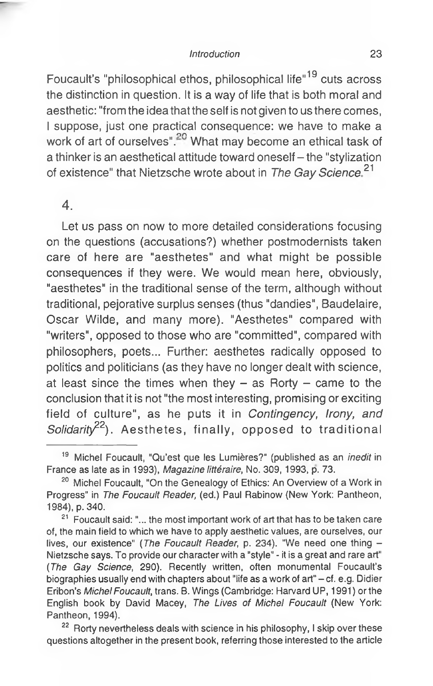Foucault's "philosophical ethos, philosophical life"<sup>19</sup> cuts across the distinction in question. It is a way of life that is both moral and aesthetic: "from the idea that the self is not given to us there comes, I suppose, just one practical consequence: we have to make a work of art of ourselves".<sup>20</sup> What may become an ethical task of a thinker is an aesthetical attitude toward oneself - the "stylization of existence" that Nietzsche wrote about in *The Gay Science2^*

# *4.*

Let us pass on now to more detailed considerations focusing on the questions (accusations?) whether postmodernists taken care of here are "aesthetes" and what might be possible consequences if they were. We would mean here, obviously, "aesthetes" in the traditional sense of the term, although without traditional, pejorative surplus senses (thus "dandies", Baudelaire, Oscar Wilde, and many more). "Aesthetes" compared with "writers", opposed to those who are "committed", compared with philosophers, poets... Further: aesthetes radically opposed to politics and politicians (as they have no longer dealt with science, at least since the times when they  $-$  as Rorty  $-$  came to the conclusion that it is not "the most interesting, promising or exciting field of culture", as he puts it in *Contingency, Irony, and* Solidarity<sup>22</sup>). Aesthetes, finally, opposed to traditional

<sup>&</sup>lt;sup>19</sup> Michel Foucault, "Qu'est que les Lumières?" (published as an *inedit* in France as late as in 1993), *Magazine littéraire,* No. 309, 1993, p. 73.

<sup>&</sup>lt;sup>20</sup> Michel Foucault, "On the Genealogy of Ethics: An Overview of a Work in Progress" in *The Foucault Reader,* (ed.) Paul Rabinow (New York: Pantheon, 1984), p. 340.

 $21$  Foucault said: "... the most important work of art that has to be taken care of, the main field to which we have to apply aesthetic values, are ourselves, our lives, our existence" (*The Foucault Reader,* p. 234). "We need one thing - Nietzsche says. To provide our character with a "style" - it is a great and rare art" *(The Gay Science,* 290). Recently written, often monumental Foucault's biographies usually end with chapters about "life as a work of art" - cf. e.g. Didier Eribon's *Michel Foucault,* trans. B. Wings (Cambridge: Harvard UP, 1991) or the English book by David Macey, *The Lives of Michel Foucault* (New York: Pantheon, 1994).

<sup>&</sup>lt;sup>22</sup> Rorty nevertheless deals with science in his philosophy, I skip over these questions altogether in the present book, referring those interested to the article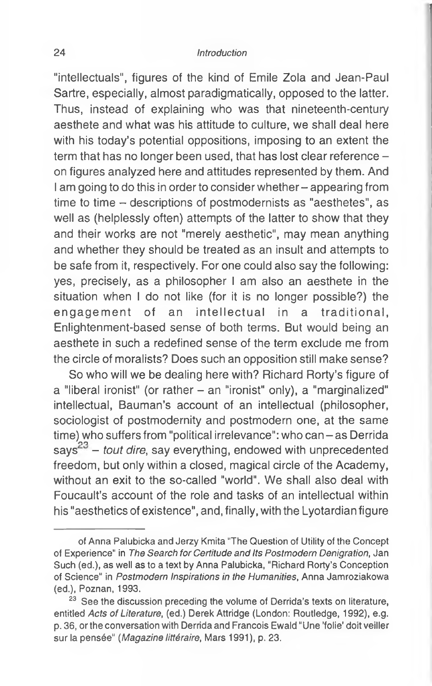"intellectuals", figures of the kind of Emile Zola and Jean-Paul Sartre, especially, almost paradigmatically, opposed to the latter. Thus, instead of explaining who was that nineteenth-century aesthete and what was his attitude to culture, we shall deal here with his today's potential oppositions, imposing to an extent the term that has no longer been used, that has lost clear reference on figures analyzed here and attitudes represented by them. And I am going to do this in order to consider whether – appearing from time to time - descriptions of postmodernists as "aesthetes", as well as (helplessly often) attempts of the latter to show that they and their works are not "merely aesthetic", may mean anything and whether they should be treated as an insult and attempts to be safe from it, respectively. For one could also say the following: yes, precisely, as a philosopher I am also an aesthete in the situation when I do not like (for it is no longer possible?) the engagement of an intellectual in a traditional, Enlightenment-based sense of both terms. But would being an aesthete in such a redefined sense of the term exclude me from the circle of moralists? Does such an opposition still make sense?

So who will we be dealing here with? Richard Rorty's figure of a "liberal ironist" (or rather - an "ironist" only), a "marginalized" intellectual, Bauman's account of an intellectual (philosopher, sociologist of postmodernity and postmodern one, at the same time) who suffers from "political irrelevance": who can - as Derrida says<sup>23</sup> – *tout dire*, say everything, endowed with unprecedented freedom, but only within a closed, magical circle of the Academy, without an exit to the so-called "world". We shall also deal with Foucault's account of the role and tasks of an intellectual within his "aesthetics of existence", and, finally, with the Lyotardian figure

of Anna Palubicka and Jerzy Kmita "The Question of Utility of the Concept of Experience" in *The Search for Certitude and Its Postmodern Denigration,* Jan Such (ed.), as well as to a text by Anna Palubicka, "Richard Rorty's Conception of Science" in *Postmodern Inspirations in the Humanities,* Anna Jamroziakowa (ed.), Poznan, 1993.

<sup>&</sup>lt;sup>23</sup> See the discussion preceding the volume of Derrida's texts on literature, entitled *Acts of Literature,* (ed.) Derek Attridge (London: Routledge, 1992), e.g. p. 36, or the conversation with Derrida and Francois Ewald "Une 'folie' doit veiller sur la pensée" *(Magazine littéraire,* Mars 1991), p. 23.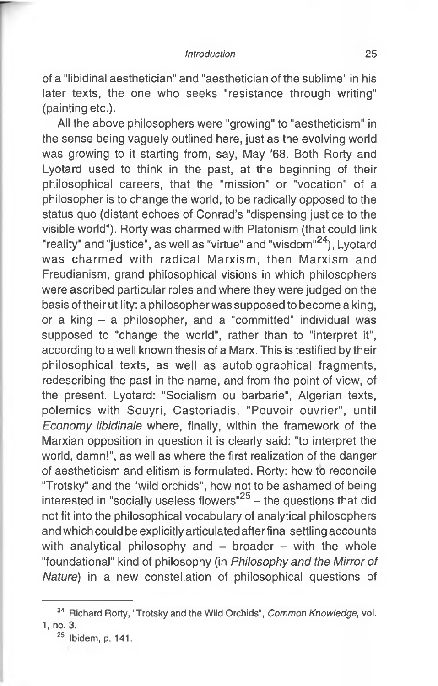of a "libidinal aesthetician" and "aesthetician of the sublime" in his later texts, the one who seeks "resistance through writing" (painting etc.).

All the above philosophers were "growing" to "aestheticism" in the sense being vaguely outlined here, just as the evolving world was growing to it starting from, say, May '68. Both Rorty and Lyotard used to think in the past, at the beginning of their philosophical careers, that the "mission" or "vocation" of a philosopher is to change the world, to be radically opposed to the status quo (distant echoes of Conrad's "dispensing justice to the visible world"). Rorty was charmed with Platonism (that could link "reality" and "justice", as well as "virtue" and "wisdom"24), Lyotard was charmed with radical Marxism, then Marxism and Freudianism, grand philosophical visions in which philosophers were ascribed particular roles and where they were judged on the basis of their utility: a philosopher was supposed to become a king, or a king  $-$  a philosopher, and a "committed" individual was supposed to "change the world", rather than to "interpret it", according to a well known thesis of a Marx. This is testified by their philosophical texts, as well as autobiographical fragments, redescribing the past in the name, and from the point of view, of the present. Lyotard: "Socialism ou barbarie", Algerian texts, polemics with Souyri, Castoriadis, "Pouvoir ouvrier", until *Economy libidinale* where, finally, within the framework of the Marxian opposition in question it is clearly said: "to interpret the world, damn!", as well as where the first realization of the danger of aestheticism and elitism is formulated. Rorty: how to reconcile "Trotsky" and the "wild orchids", how not to be ashamed of being interested in "socially useless flowers" $25 -$  the questions that did not fit into the philosophical vocabulary of analytical philosophers and which could be explicitly articulated after final settling accounts with analytical philosophy and  $-$  broader  $-$  with the whole "foundational" kind of philosophy (in *Philosophy and the Mirror of Nature)* in a new constellation of philosophical questions of

<sup>24</sup> Richard Rorty, "Trotsky and the Wild Orchids", *Common Knowledge,* vol. 1, no. 3.

<sup>25</sup> Ibidem, p. 141.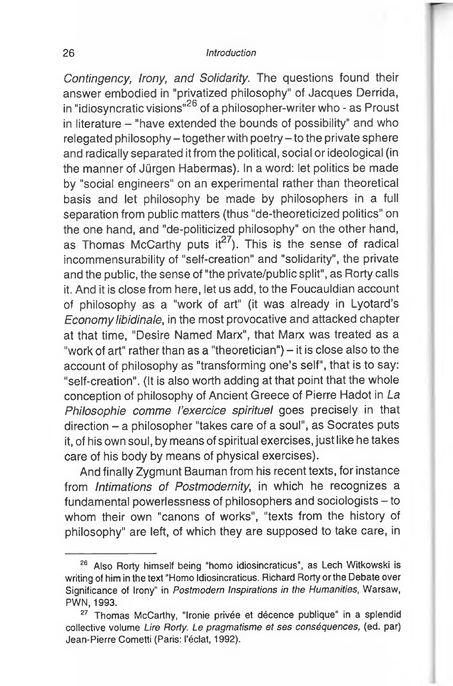*Contingency, Irony, and Solidarity.* The questions found their answer embodied in "privatized philosophy" of Jacques Derrida, in "idiosyncratic visions"<sup>26</sup> of a philosopher-writer who - as Proust in literature - "have extended the bounds of possibility" and who relegated philosophy-together with poetry-to the private sphere and radically separated it from the political, social or ideological (in the manner of Jürgen Habermas). In a word: let politics be made by "social engineers" on an experimental rather than theoretical basis and let philosophy be made by philosophers in a full separation from public matters (thus "de-theoreticized politics" on the one hand, and "de-politicized philosophy" on the other hand, as Thomas McCarthy puts  $it^{27}$ ). This is the sense of radical incommensurability of "self-creation" and "solidarity", the private and the public, the sense of "the private/public split", as Rorty calls it. And it is close from here, let us add, to the Foucauldian account of philosophy as a "work of art" (it was already in Lyotard's *Economy libidinale,* in the most provocative and attacked chapter at that time, "Desire Named Marx", that Marx was treated as a "work of art" rather than as a "theoretician")  $-$  it is close also to the account of philosophy as "transforming one's self", that is to say: "self-creation". (It is also worth adding at that point that the whole conception of philosophy of Ancient Greece of Pierre Hadot in *La Philosophie comme I'exercice spirituel* goes precisely in that direction - a philosopher "takes care of a soul", as Socrates puts it, of his own soul, by means of spiritual exercises, just like he takes care of his body by means of physical exercises).

And finally Zygmunt Bauman from his recent texts, for instance from *Intimations of Postmodernity,* in which he recognizes a fundamental powerlessness of philosophers and sociologists - to whom their own "canons of works", "texts from the history of philosophy" are left, of which they are supposed to take care, in

<sup>&</sup>lt;sup>26</sup> Also Rorty himself being "homo idiosincraticus", as Lech Witkowski is writing of him in the text "Homo Idiosincraticus. Richard Rorty or the Debate over Significance of Irony" in *Postmodern Inspirations in the Humanities,* Warsaw, PWN, 1993.

<sup>27</sup> Thomas McCarthy, "Ironie privée et décence publique" in a splendid collective volume *Lire Rorty. Le pragmatisme et ses conséquences,* (ed. par) Jean-Pierre Cometti (Paris: l'éclat, 1992).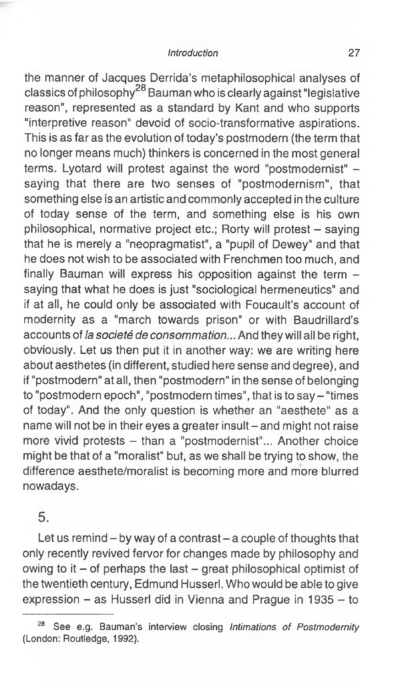the manner of Jacques Derrida's metaphilosophical analyses of classics of philosophy<sup>29</sup> Bauman who is clearly against "legislative reason", represented as a standard by Kant and who supports "interpretive reason" devoid of socio-transformative aspirations. This is as far as the evolution of today's postmodern (the term that no longer means much) thinkers is concerned in the most general terms. Lyotard will protest against the word "postmodernist" saying that there are two senses of "postmodernism", that something else is an artistic and commonly accepted in the culture of today sense of the term, and something else is his own philosophical, normative project etc.; Rorty will protest - saying that he is merely a "neopragmatist", a "pupil of Dewey" and that he does not wish to be associated with Frenchmen too much, and finally Bauman will express his opposition against the term saying that what he does is just "sociological hermeneutics" and if at all, he could only be associated with Foucault's account of modernity as a "march towards prison" or with Baudrillard's accounts of *la société de consommation...* And they will all be right, obviously. Let us then put it in another way: we are writing here about aesthetes (in different, studied here sense and degree), and if "postmodern" at all, then "postmodern" in the sense of belonging to "postmodern epoch", "postmodern times", that is to say  $-$  "times of today". And the only question is whether an "aesthete" as a name will not be in their eyes a greater insult - and might not raise more vivid protests - than a "postmodernist"... Another choice might be that of a "moralist" but, as we shall be trying to show, the difference aesthete/moralist is becoming more and more blurred nowadays.

5.

Let us remind  $-$  by way of a contrast  $-$  a couple of thoughts that only recently revived fervor for changes made by philosophy and owing to it  $-$  of perhaps the last  $-$  great philosophical optimist of the twentieth century, Edmund Husserl. Who would be able to give expression - as Husserl did in Vienna and Prague in 1935 - to

<sup>28</sup> See e.g. Bauman's interview closing *Intimations of Postmodemity* (London: Routledge, 1992).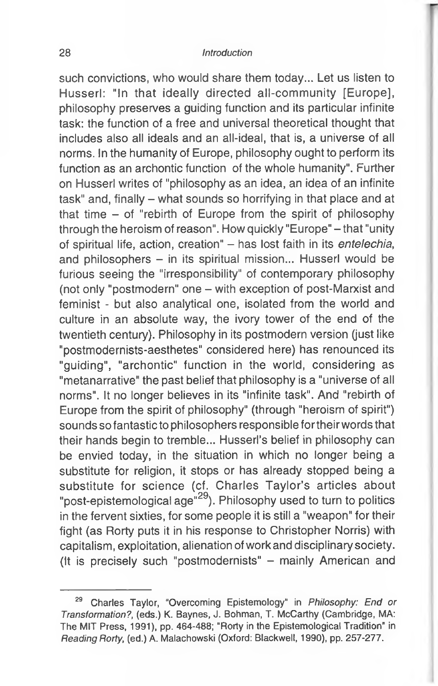such convictions, who would share them today... Let us listen to Husserl: "In that ideally directed all-community [Europe], philosophy preserves a guiding function and its particular infinite task: the function of a free and universal theoretical thought that includes also all ideals and an all-ideal, that is, a universe of all norms. In the humanity of Europe, philosophy ought to perform its function as an archontic function of the whole humanity". Further on Husserl writes of "philosophy as an idea, an idea of an infinite task" and, finally – what sounds so horrifying in that place and at that time - of "rebirth of Europe from the spirit of philosophy through the heroism of reason". How quickly "Europe" - that "unity of spiritual life, action, creation" - has lost faith in its *entelechia,* and philosophers - in its spiritual mission... Husserl would be furious seeing the "irresponsibility" of contemporary philosophy (not only "postmodern" one – with exception of post-Marxist and feminist - but also analytical one, isolated from the world and culture in an absolute way, the ivory tower of the end of the twentieth century). Philosophy in its postmodern version (just like "postmodernists-aesthetes" considered here) has renounced its "guiding", "archontic" function in the world, considering as "metanarrative" the past belief that philosophy is a "universe of all norms". It no longer believes in its "infinite task". And "rebirth of Europe from the spirit of philosophy" (through "heroism of spirit") sounds so fantastic to philosophers responsible for their words that their hands begin to tremble... Husserl's belief in philosophy can be envied today, in the situation in which no longer being a substitute for religion, it stops or has already stopped being a substitute for science (cf. Charles Taylor's articles about "post-epistemological age"<sup>29</sup>). Philosophy used to turn to politics in the fervent sixties, for some people it is still a "weapon" for their fight (as Rorty puts it in his response to Christopher Norris) with capitalism, exploitation, alienation of work and disciplinary society. (It is precisely such "postmodernists" - mainly American and

<sup>29</sup> Charles Taylor, "Overcoming Epistemology" in *Philosophy: End or Transformation?,* (eds.) K. Baynes, J. Bohman, T. McCarthy (Cambridge, MA: The MIT Press, 1991), pp. 464-488; "Rorty in the Epistemological Tradition" in *Reading Rorty,* (ed.) A. Małachowski (Oxford: Blackwell, 1990), pp. 257-277.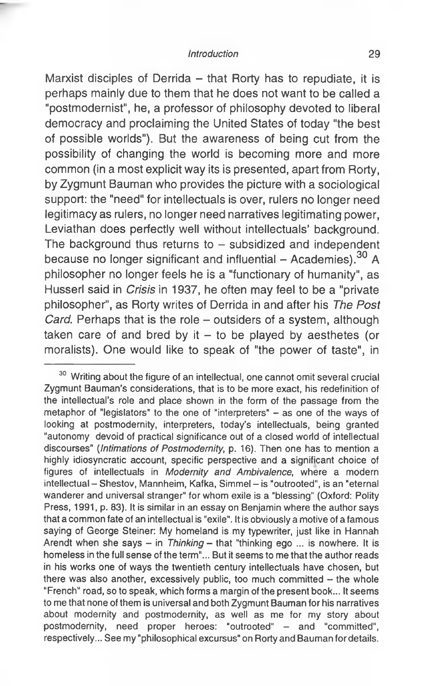Marxist disciples of Derrida  $-$  that Rorty has to repudiate, it is perhaps mainly due to them that he does not want to be called a "postmodernist", he, a professor of philosophy devoted to liberal democracy and proclaiming the United States of today "the best of possible worlds"). But the awareness of being cut from the possibility of changing the world is becoming more and more common (in a most explicit way its is presented, apart from Rorty, by Zygmunt Bauman who provides the picture with a sociological support: the "need" for intellectuals is over, rulers no longer need legitimacy as rulers, no longer need narratives legitimating power, Leviathan does perfectly well without intellectuals' background. The background thus returns to  $-$  subsidized and independent because no longer significant and influential  $-$  Academies).<sup>30</sup> A philosopher no longer feels he is a "functionary of humanity", as Husserl said in *Crisis* in 1937, he often may feel to be a "private philosopher", as Rorty writes of Derrida in and after his *The Post Card.* Perhaps that is the role – outsiders of a system, although taken care of and bred by it  $-$  to be played by aesthetes (or moralists). One would like to speak of "the power of taste", in

<sup>&</sup>lt;sup>30</sup> Writing about the figure of an intellectual, one cannot omit several crucial Zygmunt Bauman's considerations, that is to be more exact, his redefinition of the intellectual's role and place shown in the form of the passage from the metaphor of "legislators" to the one of "interpreters" - as one of the ways of looking at postmodernity, interpreters, today's intellectuals, being granted "autonomy devoid of practical significance out of a closed world of intellectual discourses" (*Intimations of Postmodernity,* p. 16). Then one has to mention a highly idiosyncratic account, specific perspective and a significant choice of figures of intellectuals in *Modernity and Ambivalence,* where a modern intellectual - Shestov, Mannheim, Kafka, Simmel - is "outrooted", is an "eternal wanderer and universal stranger" for whom exile is a "blessing" (Oxford: Polity Press, 1991, p. 83). It is similar in an essay on Benjamin where the author says that a common fate of an intellectual is "exile". It is obviously a motive of a famous saying of George Steiner: My homeland is my typewriter, just like in Hannah Arendt when she says - in *Thinking* - that "thinking ego ... is nowhere. It is homeless in the full sense of the term"... But it seems to me that the author reads in his works one of ways the twentieth century intellectuals have chosen, but there was also another, excessively public, too much committed  $-$  the whole "French" road, so to speak, which forms a margin of the present book... It seems to me that none of them is universal and both Zygmunt Bauman for his narratives about modernity and postmodernity, as well as me for my story about postmodernity, need proper heroes: "outrooted" - and "committed", respectively... See my "philosophical excursus" on Rorty and Bauman for details.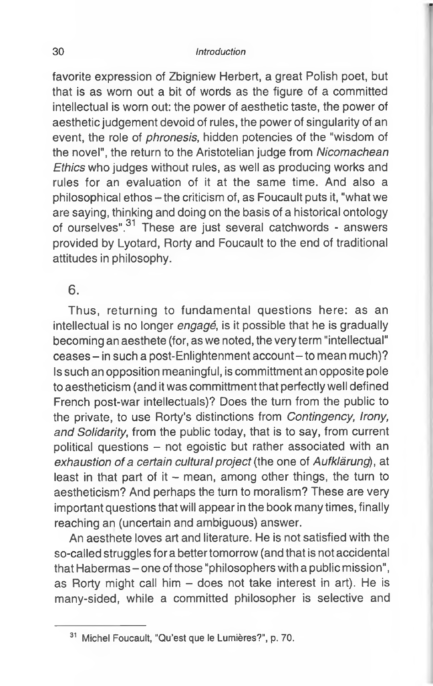favorite expression of Zbigniew Herbert, a great Polish poet, but that is as worn out a bit of words as the figure of a committed intellectual is worn out: the power of aesthetic taste, the power of aesthetic judgement devoid of rules, the power of singularity of an event, the role of *phronesis,* hidden potencies of the "wisdom of the novel", the return to the Aristotelian judge from *Nicomachean Ethics* who judges without rules, as well as producing works and rules for an evaluation of it at the same time. And also a philosophical ethos - the criticism of, as Foucault puts it, "what we are saying, thinking and doing on the basis of a historical ontology of ourselves".<sup>31</sup> These are just several catchwords - answers provided by Lyotard, Rorty and Foucault to the end of traditional attitudes in philosophy.

# 6.

Thus, returning to fundamental questions here: as an intellectual is no longer *engagé,* is it possible that he is gradually becoming an aesthete (for, as we noted, the very term "intellectual" ceases - in such a post-Enlightenment account - to mean much)? Is such an opposition meaningful, is committment an opposite pole to aestheticism (and it was committment that perfectly well defined French post-war intellectuals)? Does the turn from the public to the private, to use Rorty's distinctions from *Contingency, Irony, and Solidarity,* from the public today, that is to say, from current political questions  $-$  not egoistic but rather associated with an *exhaustion of a certain cultural project (the* one of *Aufklärung/),* at least in that part of it - mean, among other things, the turn to aestheticism? And perhaps the turn to moralism? These are very important questions that will appear in the book many times, finally reaching an (uncertain and ambiguous) answer.

An aesthete loves art and literature. He is not satisfied with the so-called struggles for a better tomorrow (and that is not accidental that Habermas – one of those "philosophers with a public mission", as Rorty might call him  $-$  does not take interest in art). He is many-sided, while a committed philosopher is selective and

<sup>&</sup>lt;sup>31</sup> Michel Foucault, "Qu'est que le Lumières?", p. 70.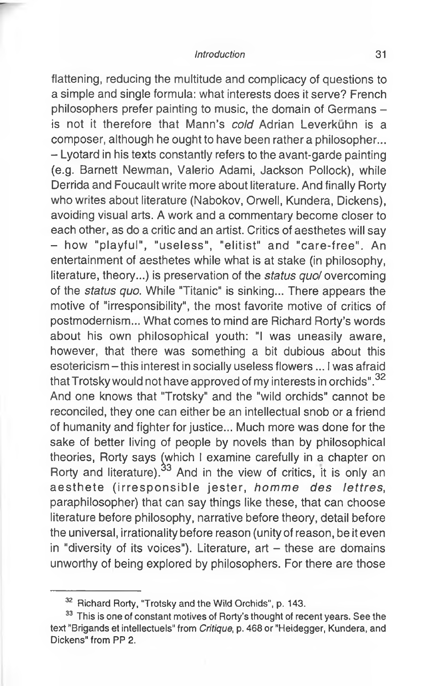flattening, reducing the multitude and complicacy of questions to a simple and single formula: what interests does it serve? French philosophers prefer painting to music, the domain of Germans is not it therefore that Mann's *cold* Adrian Leverkuhn is a composer, although he ought to have been rather a philosopher... - Lyotard in his texts constantly refers to the avant-garde painting (e.g. Barnett Newman, Valerio Adami, Jackson Pollock), while Derrida and Foucault write more about literature. And finally Rorty who writes about literature (Nabokov, Orwell, Kundera, Dickens), avoiding visual arts. A work and a commentary become closer to each other, as do a critic and an artist. Critics of aesthetes will say - how "playful", "useless", "elitist" and "care-free". An entertainment of aesthetes while what is at stake (in philosophy, literature, theory...) is preservation of the *status quo/* overcoming of the *status quo.* While "Titanic" is sinking... There appears the motive of "irresponsibility", the most favorite motive of critics of postmodernism... What comes to mind are Richard Rorty's words about his own philosophical youth: "I was uneasily aware, however, that there was something a bit dubious about this esotericism - this interest in socially useless flowers... I was afraid that Trotsky would not have approved of my interests in orchids".<sup>32</sup> And one knows that "Trotsky" and the "wild orchids" cannot be reconciled, they one can either be an intellectual snob or a friend of humanity and fighter for justice... Much more was done for the sake of better living of people by novels than by philosophical theories, Rorty says (which I examine carefully in a chapter on Rorty and literature).<sup>33</sup> And in the view of critics, it is only an aesthete (irresponsible jester, *homme des lettres*, paraphilosopher) that can say things like these, that can choose literature before philosophy, narrative before theory, detail before the universal, irrationality before reason (unity of reason, be it even in "diversity of its voices"). Literature,  $art -$  these are domains unworthy of being explored by philosophers. For there are those

<sup>&</sup>lt;sup>32</sup> Richard Rorty, "Trotsky and the Wild Orchids", p. 143.

<sup>&</sup>lt;sup>33</sup> This is one of constant motives of Rorty's thought of recent years. See the text "Brigands et intellectuels" from *Critique,* p. 468 or "Heidegger, Kundera, and Dickens" from PP 2.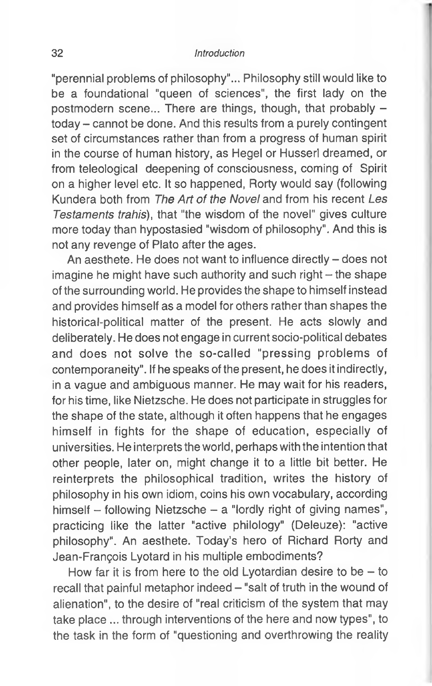"perennial problems of philosophy"... Philosophy still would like to be a foundational "queen of sciences", the first lady on the postmodern scene... There are things, though, that probably  $$ today - cannot be done. And this results from a purely contingent set of circumstances rather than from a progress of human spirit in the course of human history, as Hegel or Husserl dreamed, or from teleological deepening of consciousness, coming of Spirit on a higher level etc. It so happened, Rorty would say (following Kundera both from *The Art of the Novel* and from his recent *Les Testaments trahis),* that "the wisdom of the novel" gives culture more today than hypostasied "wisdom of philosophy". And this is not any revenge of Plato after the ages.

An aesthete. He does not want to influence directly - does not imagine he might have such authority and such right  $-$  the shape of the surrounding world. He provides the shape to himself instead and provides himself as a model for others rather than shapes the historical-political matter of the present. He acts slowly and deliberately. He does not engage in current socio-political debates and does not solve the so-called "pressing problems of contemporaneity". If he speaks of the present, he does it indirectly, in a vague and ambiguous manner. He may wait for his readers, for his time, like Nietzsche. He does not participate in struggles for the shape of the state, although it often happens that he engages himself in fights for the shape of education, especially of universities. He interprets the world, perhaps with the intention that other people, later on, might change it to a little bit better. He reinterprets the philosophical tradition, writes the history of philosophy in his own idiom, coins his own vocabulary, according himself - following Nietzsche - a "lordly right of giving names", practicing like the latter "active philology" (Deleuze): "active philosophy". An aesthete. Today's hero of Richard Rorty and Jean-François Lyotard in his multiple embodiments?

How far it is from here to the old Lyotardian desire to be  $-$  to recall that painful metaphor indeed - "salt of truth in the wound of alienation", to the desire of "real criticism of the system that may take place ... through interventions of the here and now types", to the task in the form of "questioning and overthrowing the reality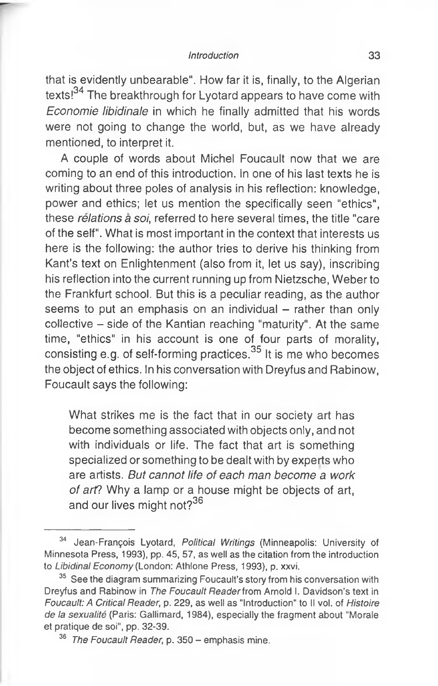that is evidently unbearable". How far it is, finally, to the Algerian texts!<sup>34</sup> The breakthrough for Lyotard appears to have come with *Economie libidinale* in which he finally admitted that his words were not going to change the world, but, as we have already mentioned, to interpret it.

A couple of words about Michel Foucault now that we are coming to an end of this introduction. In one of his last texts he Is writing about three poles of analysis in his reflection: knowledge, power and ethics; let us mention the specifically seen "ethics", these *relations a soi,* referred to here several times, the title "care of the self". What is most important in the context that interests us here is the following: the author tries to derive his thinking from Kant's text on Enlightenment (also from it, let us say), inscribing his reflection into the current running up from Nietzsche, Weber to the Frankfurt school. But this is a peculiar reading, as the author seems to put an emphasis on an individual  $-$  rather than only collective - side of the Kantian reaching "maturity". At the same time, "ethics" in his account is one of four parts of morality, consisting e.g. of self-forming practices.<sup>35</sup> It is me who becomes the object of ethics. In his conversation with Dreyfus and Rabinow, Foucault says the following:

What strikes me is the fact that in our society art has become something associated with objects only, and not with individuals or life. The fact that art is something specialized or something to be dealt with by experts who are artists. *But cannot life of each man become a work of art?* Why a lamp or a house might be objects of art, and our lives might not?<sup>36</sup>

<sup>34</sup> Jean-François Lyotard, *Political Writings* (Minneapolis: University of Minnesota Press, 1993), pp. 45, 57, as well as the citation from the introduction to *Libidinal Economy* (London: Athlone Press, 1993), p. xxvi.

<sup>&</sup>lt;sup>35</sup> See the diagram summarizing Foucault's story from his conversation with Dreyfus and Rabinow in *The Foucault Reader* from Arnold I. Davidson's text in *Foucault: A Critical Reader,* p. 229, as well as "Introduction" to II vol. of *Histoire de la sexualité* (Paris: Gallimard, 1984), especially the fragment about "Morale et pratique de soi", pp. 32-39.

<sup>&</sup>lt;sup>36</sup> The Foucault Reader, p. 350 - emphasis mine.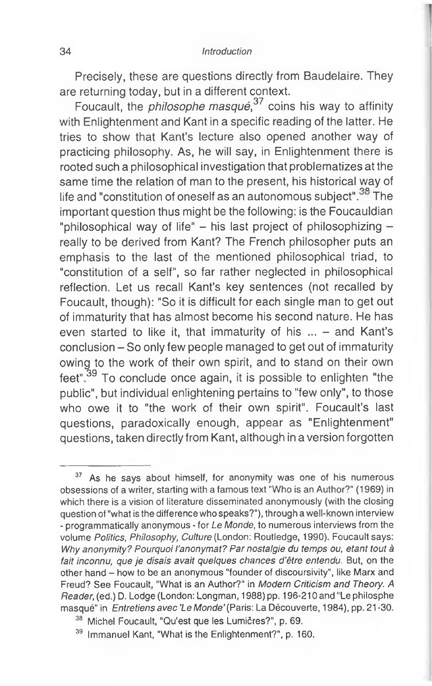Precisely, these are questions directly from Baudelaire. They are returning today, but in a different context.

Foucault, the *philosophe masqué*,<sup>37</sup> coins his way to affinity with Enlightenment and Kant in a specific reading of the latter. He tries to show that Kant's lecture also opened another way of practicing philosophy. As, he will say, in Enlightenment there is rooted such a philosophical investigation that problematizes at the same time the relation of man to the present, his historical way of life and "constitution of oneself as an autonomous subject".<sup>38</sup> The important question thus might be the following: is the Foucauldian "philosophical way of life"  $-$  his last project of philosophizing  $$ really to be derived from Kant? The French philosopher puts an emphasis to the last of the mentioned philosophical triad, to "constitution of a self", so far rather neglected in philosophical reflection. Let us recall Kant's key sentences (not recalled by Foucault, though): "So it is difficult for each single man to get out of immaturity that has almost become his second nature. He has even started to like it, that immaturity of his  $\ldots$  – and Kant's conclusion - So only few people managed to get out of immaturity owing to the work of their own spirit, and to stand on their own feet"<sup>39</sup> To conclude once again, it is possible to enlighten "the public", but individual enlightening pertains to "few only", to those who owe it to "the work of their own spirit". Foucault's last questions, paradoxically enough, appear as "Enlightenment" questions, taken directly from Kant, although in a version forgotten

<sup>&</sup>lt;sup>37</sup> As he says about himself, for anonymity was one of his numerous obsessions of a writer, starting with a famous text "Who is an Author?" (1969) in which there is a vision of literature disseminated anonymously (with the closing question of "what is the difference who speaks?"), through a well-known interview - programmatically anonymous - for *Le Monde,* to numerous interviews from the volume *Politics, Philosophy, Culture (*London: Routledge, 1990). Foucault says: *Why anonymity? Pourquoi l'anonymat? Par nostalgie du temps ou, étant tout à fait inconnu, que je disais avait quelques chances d'être entendu.* But, on the other hand - how to be an anonymous "founder of discoursivity", like Marx and Freud? See Foucault, "What is an Author?" in *Modern Criticism and Theory. A Reader,* (ed.) D. Lodge (London: Longman, 1988) pp. 196-210 and "Le philosphe masqué" in *Entretiens avec 'Le Monde'*(Paris: La Découverte, 1984), pp. 21-30.

Michel Foucault, "Qu'est que les Lumičres?", p. 69.

<sup>&</sup>lt;sup>39</sup> Immanuel Kant, "What is the Enlightenment?", p. 160.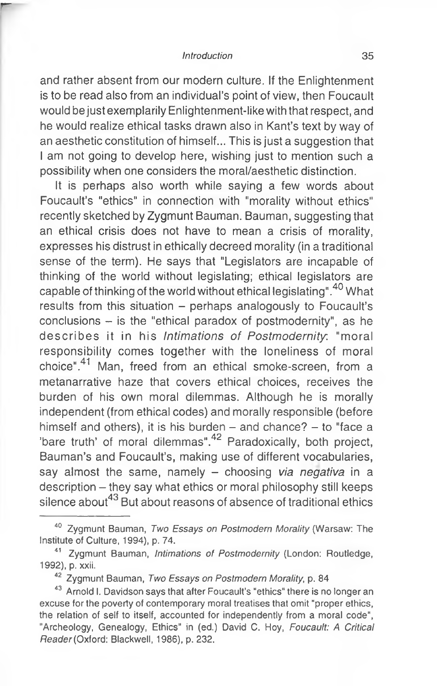**r**

and rather absent from our modern culture. If the Enlightenment is to be read also from an individual's point of view, then Foucault would be just exemplarily Enlightenment-like with that respect, and he would realize ethical tasks drawn also in Kant's text by way of an aesthetic constitution of himself... This is just a suggestion that I am not going to develop here, wishing just to mention such a possibility when one considers the moral/aesthetic distinction.

It is perhaps also worth while saying a few words about Foucault's "ethics" in connection with "morality without ethics" recently sketched by Zygmunt Bauman. Bauman, suggesting that an ethical crisis does not have to mean a crisis of morality, expresses his distrust in ethically decreed morality (in a traditional sense of the term). He says that "Legislators are incapable of thinking of the world without legislating; ethical legislators are capable of thinking of the world without ethical legislating".<sup>40</sup> What results from this situation - perhaps analogously to Foucault's  $conclusions - is the "ethical paradox of postmodernity", as he$ describes it in his *Intimations of Postmodernity,* "moral responsibility comes together with the loneliness of moral choice".<sup>41</sup> Man, freed from an ethical smoke-screen, from a metanarrative haze that covers ethical choices, receives the burden of his own moral dilemmas. Although he is morally independent (from ethical codes) and morally responsible (before himself and others), it is his burden  $-$  and chance?  $-$  to "face a 'bare truth' of moral dilemmas".<sup>42</sup> Paradoxically, both project, Bauman's and Foucault's, making use of different vocabularies, say almost the same, namely - choosing via negativa in a description – they say what ethics or moral philosophy still keeps silence about<sup>43</sup> But about reasons of absence of traditional ethics

<sup>40</sup> Zygmunt Bauman, *Two Essays on Postmodern Morality* (Warsaw: The Institute of Culture, 1994), p. 74.

<sup>41</sup> Zygmunt Bauman, *Intimations of Postmodernity* (London: Routledge, 1992), p. xxii.

<sup>42</sup> Zygmunt Bauman, *Two Essays on Postmodern Morality,* p. 84

<sup>&</sup>lt;sup>43</sup> Arnold I. Davidson says that after Foucault's "ethics" there is no longer an excuse for the poverty of contemporary moral treatises that omit "proper ethics, the relation of self to itself, accounted for independently from a moral code", "Archeology, Genealogy, Ethics" in (ed.) David C. Hoy, *Foucault: A Critical Reader* (Oxford: Blackwell, 1986), p. 232.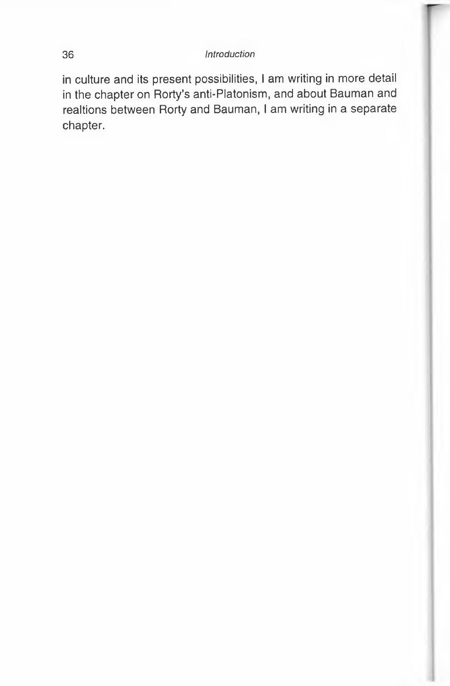in culture and its present possibilities, I am writing in more detail in the chapter on Rorty's anti-Platonism, and about Bauman and realtions between Rorty and Bauman, I am writing in a separate chapter.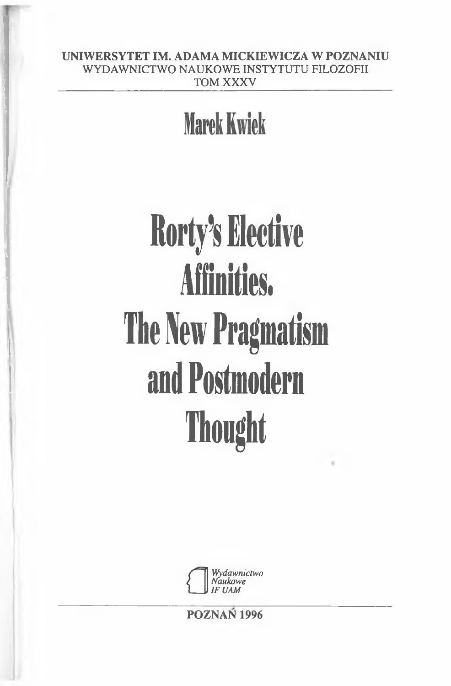# **Marek Kwiek**

# **Rorty's Elective Affinities. The New Pragmatism and Postmodern Thought**